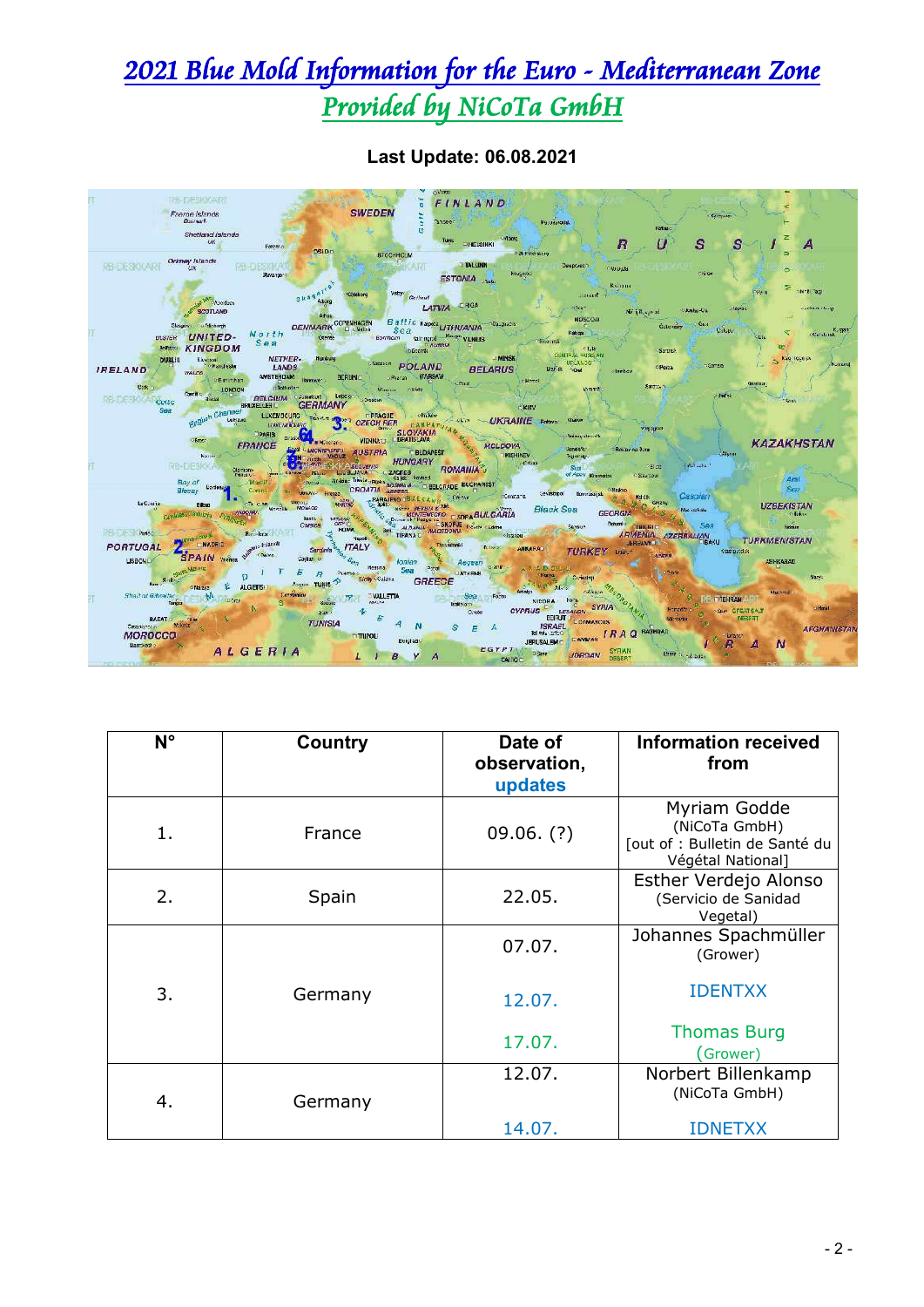## 2021 Blue Mold Information for the Euro - Mediterranean Zone Provided by NiCoTa GmbH



**Last Update: 06.08.2021**

| $N^{\circ}$ | Country | Date of<br>observation,<br>updates | <b>Information received</b><br>from                                                  |
|-------------|---------|------------------------------------|--------------------------------------------------------------------------------------|
| 1.          | France  | $09.06.$ (?)                       | Myriam Godde<br>(NiCoTa GmbH)<br>[out of : Bulletin de Santé du<br>Végétal National] |
| 2.          | Spain   | 22.05.                             | Esther Verdejo Alonso<br>(Servicio de Sanidad<br>Vegetal)                            |
|             |         | 07.07.                             | Johannes Spachmüller<br>(Grower)                                                     |
| 3.          | Germany | 12.07.                             | <b>IDENTXX</b>                                                                       |
|             |         | 17.07.                             | <b>Thomas Burg</b><br>(Grower)                                                       |
| 4.          | Germany | 12.07.                             | Norbert Billenkamp<br>(NiCoTa GmbH)                                                  |
|             |         | 14.07.                             | IDNETXX                                                                              |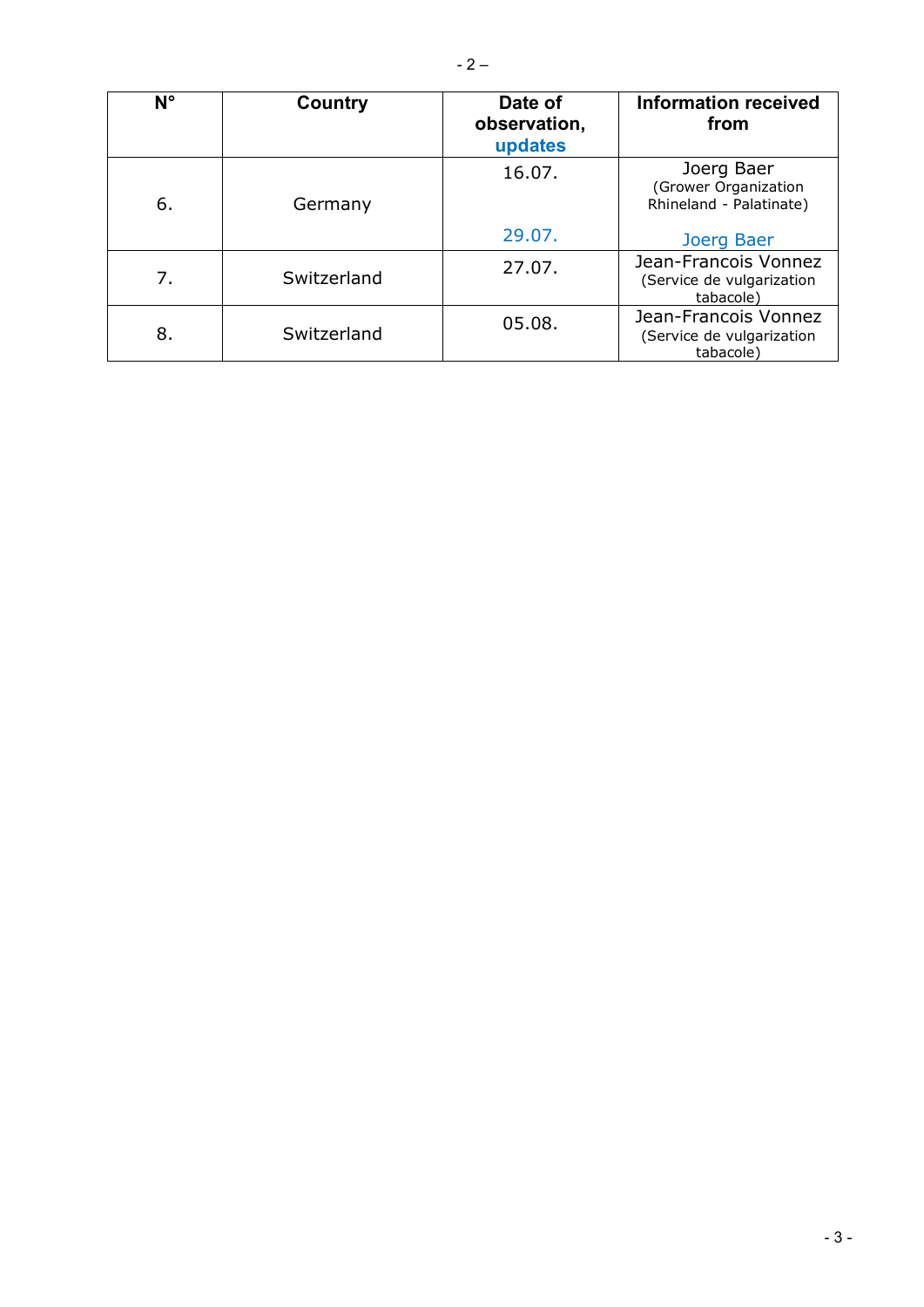| $N^{\circ}$ | Country     | Date of<br>observation,<br>updates | Information received<br>from                                   |
|-------------|-------------|------------------------------------|----------------------------------------------------------------|
| 6.          | Germany     | 16.07.                             | Joerg Baer<br>(Grower Organization<br>Rhineland - Palatinate)  |
|             |             | 29.07.                             | Joerg Baer                                                     |
| 7.          | Switzerland | 27.07.                             | Jean-Francois Vonnez<br>(Service de vulgarization<br>tabacole) |
| 8.          | Switzerland | 05.08.                             | Jean-Francois Vonnez<br>(Service de vulgarization<br>tabacole) |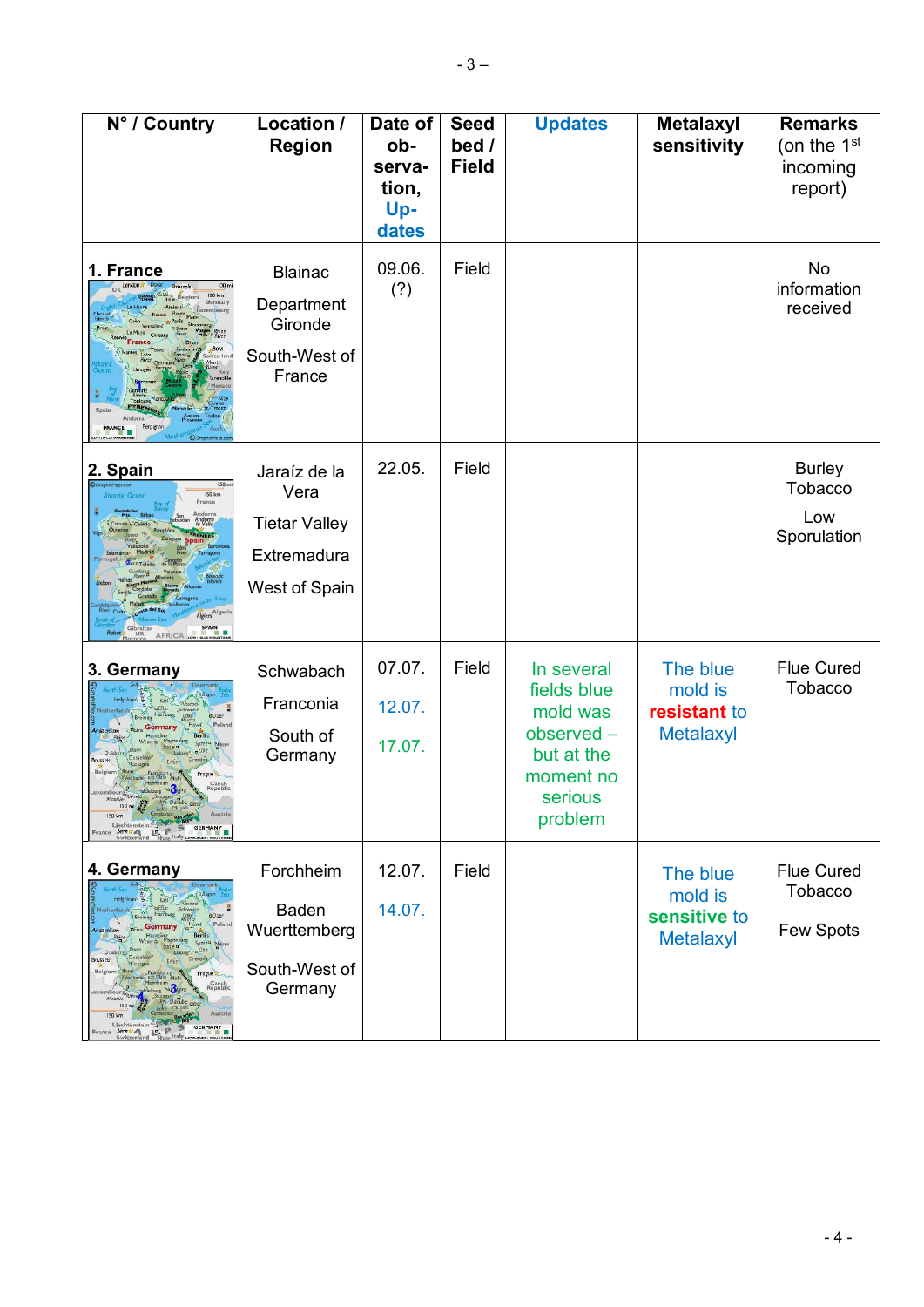| N° / Country                                                                                                                                                                                                                                                                                                                                                                                                                                                                                                                                 | Location /<br><b>Region</b>                                                  | Date of<br>ob-<br>serva-<br>tion,<br>Up-<br>dates | <b>Seed</b><br>bed /<br><b>Field</b> | <b>Updates</b>                                                                                      | <b>Metalaxyl</b><br>sensitivity                         | <b>Remarks</b><br>(on the $1st$<br>incoming<br>report) |
|----------------------------------------------------------------------------------------------------------------------------------------------------------------------------------------------------------------------------------------------------------------------------------------------------------------------------------------------------------------------------------------------------------------------------------------------------------------------------------------------------------------------------------------------|------------------------------------------------------------------------------|---------------------------------------------------|--------------------------------------|-----------------------------------------------------------------------------------------------------|---------------------------------------------------------|--------------------------------------------------------|
| 1. France<br>100 m<br><b>Brussels</b><br>100 km<br>Belgium<br>Germany<br>Paris<br>Mes. Phine<br>Bern<br>vitzerla<br>Grenobl<br>Perpignan<br><b>FRANCE</b>                                                                                                                                                                                                                                                                                                                                                                                    | <b>Blainac</b><br>Department<br>Gironde<br>South-West of<br>France           | 09.06.<br>(?)                                     | Field                                |                                                                                                     |                                                         | No<br>information<br>received                          |
| 2. Spain<br>150 m<br><b>Atlantic Ocean</b><br><b>150 km</b><br>France<br>Andorra<br>la Vella<br>RENEES<br>Algiers <sup>Algeri</sup><br>SPAIN<br><b>UK</b><br><b>AFRICA</b>                                                                                                                                                                                                                                                                                                                                                                   | Jaraíz de la<br>Vera<br><b>Tietar Valley</b><br>Extremadura<br>West of Spain | 22.05.                                            | Field                                |                                                                                                     |                                                         | <b>Burley</b><br>Tobacco<br>Low<br>Sporulation         |
| 3. Germany<br><b>Rostock</b><br>rs Fifter<br><b>a</b> Oder<br>Polan<br>$E$ loe<br><b>Brussels</b><br>Prague<br>Czech<br>Republic<br>Heldeberg Nuclear<br>ixembourg Rhine<br>the Stuttgart<br>150<br>150 km<br>Liechtenstein Zugspra<br>$E$ $P$ $S$<br><b>GERMANY</b><br>Bern k A<br>France                                                                                                                                                                                                                                                   | Schwabach<br>Franconia<br>South of<br>Germany                                | 07.07.<br>12.07.<br>17.07.                        | Field                                | In several<br>fields blue<br>mold was<br>observed-<br>but at the<br>moment no<br>serious<br>problem | The blue<br>mold is<br>resistant to<br><b>Metalaxyl</b> | <b>Flue Cured</b><br>Tobacco                           |
| 4. Germany<br>Pappen<br>Karf<br>Rostock<br><b>u</b> Elte<br>Schweri<br>aOder<br>Polan<br>Germany<br><b>Berlin</b><br>Spree <sup>a</sup> Neisse<br>$E$ lbe<br>Duis<br>Leigzig<br>Dusseldorf<br>Dresden<br><b>Brussels</b><br>Erfürr<br>Belgium<br>Frankfurt p<br>Progue<br>Czech<br>Republic<br>xembours<br>Moselle<br>150 mi<br>Austria<br>150 km<br>Liechtenstein <sup>20</sup><br>GERMANY<br>$F$ Exance $\frac{\text{Bern}(A)}{\text{Swistency}}$ $\mathbb{E}$ $\mathbb{F}$ $\rightarrow$ France $\frac{\text{Bern}(A)}{\text{Swistency}}$ | Forchheim<br><b>Baden</b><br>Wuerttemberg<br>South-West of<br>Germany        | 12.07.<br>14.07.                                  | Field                                |                                                                                                     | The blue<br>mold is<br>sensitive to<br><b>Metalaxyl</b> | <b>Flue Cured</b><br><b>Tobacco</b><br>Few Spots       |